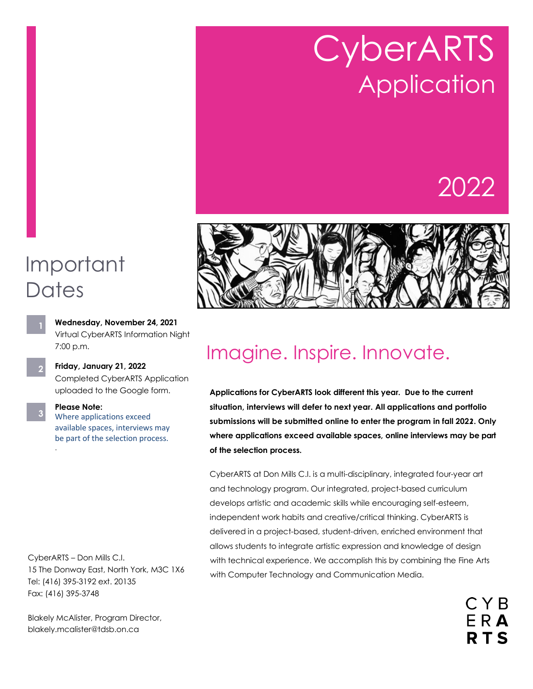# CyberARTS **Application**

## 2022



## Important **Dates**

**3**

.

- **Wednesday, November 24, 2021** Virtual CyberARTS Information Night 7:00 p.m.
- **Friday, January 21, 2022** Completed CyberARTS Application uploaded to the Google form. **2**

**Please Note:** Where applications exceed available spaces, interviews may be part of the selection process.

CyberARTS – Don Mills C.I. 15 The Donway East, North York, M3C 1X6 Tel: (416) 395-3192 ext. 20135 Fax: (416) 395-3748

Blakely McAlister, Program Director, blakely.mcalister@tdsb.on.ca

## Imagine. Inspire. Innovate.

**Applications for CyberARTS look different this year. Due to the current situation, interviews will defer to next year. All applications and portfolio submissions will be submitted online to enter the program in fall 202***2***. Only where applications exceed available spaces, online interviews may be part of the selection process.** 

CyberARTS at Don Mills C.I. is a multi-disciplinary, integrated four-year art and technology program. Our integrated, project-based curriculum develops artistic and academic skills while encouraging self-esteem, independent work habits and creative/critical thinking. CyberARTS is delivered in a project-based, student-driven, enriched environment that allows students to integrate artistic expression and knowledge of design with technical experience. We accomplish this by combining the Fine Arts with Computer Technology and Communication Media.

> CYB ERA **RTS**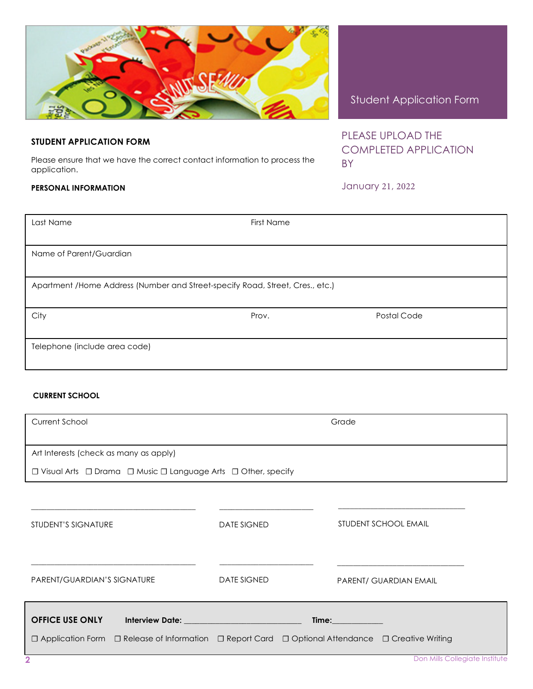### Student Application Form

PLEASE UPLOAD THE COMPLETED APPLICATION BY

January 21, 2022

| Last Name                                                                     | First Name |             |  |
|-------------------------------------------------------------------------------|------------|-------------|--|
|                                                                               |            |             |  |
| Name of Parent/Guardian                                                       |            |             |  |
|                                                                               |            |             |  |
| Apartment /Home Address (Number and Street-specify Road, Street, Cres., etc.) |            |             |  |
|                                                                               |            |             |  |
| City                                                                          | Prov.      | Postal Code |  |
|                                                                               |            |             |  |
| Telephone (include area code)                                                 |            |             |  |
|                                                                               |            |             |  |

#### **CURRENT SCHOOL**

**STUDENT APPLICATION FORM**

**PERSONAL INFORMATION** 

application.

| Current School                                                                                                                           |                    | Grade                       |
|------------------------------------------------------------------------------------------------------------------------------------------|--------------------|-----------------------------|
| Art Interests (check as many as apply)                                                                                                   |                    |                             |
| $\Box$ Visual Arts $\Box$ Drama $\Box$ Music $\Box$ Language Arts $\Box$ Other, specify                                                  |                    |                             |
|                                                                                                                                          |                    |                             |
| STUDENT'S SIGNATURE                                                                                                                      | <b>DATE SIGNED</b> | <b>STUDENT SCHOOL EMAIL</b> |
| PARENT/GUARDIAN'S SIGNATURE                                                                                                              | <b>DATE SIGNED</b> | PARENT/ GUARDIAN EMAIL      |
| <b>OFFICE USE ONLY</b><br>Interview Date: New York State State State State State State State State State State State State State State S |                    | <b>Time:</b> Time:          |
| □ Application Form □ Release of Information □ Report Card □ Optional Attendance □ Creative Writing                                       |                    |                             |



Please ensure that we have the correct contact information to process the